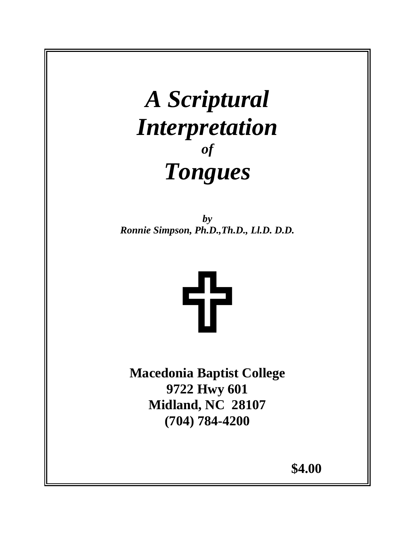## *A Scriptural Interpretation of Tongues*

*by Ronnie Simpson, Ph.D.,Th.D., Ll.D. D.D.*



**Macedonia Baptist College 9722 Hwy 601 Midland, NC 28107 (704) 784-4200** 

 $$4.00$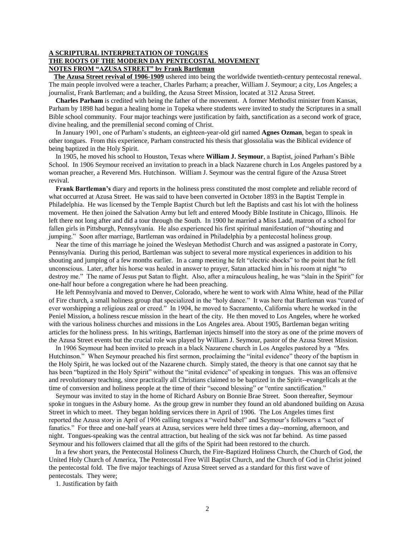## **A SCRIPTURAL INTERPRETATION OF TONGUES THE ROOTS OF THE MODERN DAY PENTECOSTAL MOVEMENT NOTES FROM "AZUSA STREET" by Frank Bartleman**

 **The Azusa Street revival of 1906-1909** ushered into being the worldwide twentieth-century pentecostal renewal. The main people involved were a teacher, Charles Parham; a preacher, William J. Seymour; a city, Los Angeles; a journalist, Frank Bartleman; and a building, the Azusa Street Mission, located at 312 Azusa Street.

 **Charles Parham** is credited with being the father of the movement. A former Methodist minister from Kansas, Parham by 1898 had begun a healing home in Topeka where students were invited to study the Scriptures in a small Bible school community. Four major teachings were justification by faith, sanctification as a second work of grace, divine healing, and the premillenial second coming of Christ.

 In January 1901, one of Parham's students, an eighteen-year-old girl named **Agnes Ozman**, began to speak in other tongues. From this experience, Parham constructed his thesis that glossolalia was the Biblical evidence of being baptized in the Holy Spirit.

 In 1905, he moved his school to Houston, Texas where **William J. Seymour**, a Baptist, joined Parham's Bible School. In 1906 Seymour received an invitation to preach in a black Nazarene church in Los Angeles pastored by a woman preacher, a Reverend Mrs. Hutchinson. William J. Seymour was the central figure of the Azusa Street revival.

 **Frank Bartleman's** diary and reports in the holiness press constituted the most complete and reliable record of what occurred at Azusa Street. He was said to have been converted in October 1893 in the Baptist Temple in Philadelphia. He was licensed by the Temple Baptist Church but left the Baptists and cast his lot with the holiness movement. He then joined the Salvation Army but left and entered Moody Bible Institute in Chicago, Illinois. He left there not long after and did a tour through the South. In 1900 he married a Miss Ladd, matron of a school for fallen girls in Pittsburgh, Pennsylvania. He also experienced his first spiritual manifestation of "shouting and jumping." Soon after marriage, Bartleman was ordained in Philadelphia by a pentecostal holiness group.

 Near the time of this marriage he joined the Wesleyan Methodist Church and was assigned a pastorate in Corry, Pennsylvania. During this period, Bartleman was subject to several more mystical experiences in addition to his shouting and jumping of a few months earlier. In a camp meeting he felt "electric shocks" to the point that he fell unconscious. Later, after his horse was healed in answer to prayer, Satan attacked him in his room at night "to destroy me." The name of Jesus put Satan to flight. Also, after a miraculous healing, he was "slain in the Spirit" for one-half hour before a congregation where he had been preaching.

 He left Pennsylvania and moved to Denver, Colorado, where he went to work with Alma White, head of the Pillar of Fire church, a small holiness group that specialized in the "holy dance." It was here that Bartleman was "cured of ever worshipping a religious zeal or creed." In 1904, he moved to Sacramento, California where he worked in the Peniel Mission, a holiness rescue mission in the heart of the city. He then moved to Los Angeles, where he worked with the various holiness churches and missions in the Los Angeles area. About 1905, Bartleman began writing articles for the holiness press. In his writings, Bartleman injects himself into the story as one of the prime movers of the Azusa Street events but the crucial role was played by William J. Seymour, pastor of the Azusa Street Mission.

 In 1906 Seymour had been invited to preach in a black Nazarene church in Los Angeles pastored by a "Mrs. Hutchinson." When Seymour preached his first sermon, proclaiming the "inital evidence" theory of the baptism in the Holy Spirit, he was locked out of the Nazarene church. Simply stated, the theory is that one cannot say that he has been "baptized in the Holy Spirit" without the "inital evidence" of speaking in tongues. This was an offensive and revolutionary teaching, since practically all Christians claimed to be baptized in the Spirit--evangelicals at the time of conversion and holiness people at the time of their "second blessing" or "entire sanctification."

 Seymour was invited to stay in the home of Richard Asbury on Bonnie Brae Street. Soon thereafter, Seymour spoke in tongues in the Asbury home. As the group grew in number they found an old abandoned building on Azusa Street in which to meet. They began holding services there in April of 1906. The Los Angeles times first reported the Azusa story in April of 1906 calling tongues a "weird babel" and Seymour's followers a "sect of fanatics." For three and one-half years at Azusa, services were held three times a day--morning, afternoon, and night. Tongues-speaking was the central attraction, but healing of the sick was not far behind. As time passed Seymour and his followers claimed that all the gifts of the Spirit had been restored to the church.

 In a few short years, the Pentecostal Holiness Church, the Fire-Baptized Holiness Church, the Church of God, the United Holy Church of America, The Pentecostal Free Will Baptist Church, and the Church of God in Christ joined the pentecostal fold. The five major teachings of Azusa Street served as a standard for this first wave of pentecostals. They were;

1. Justification by faith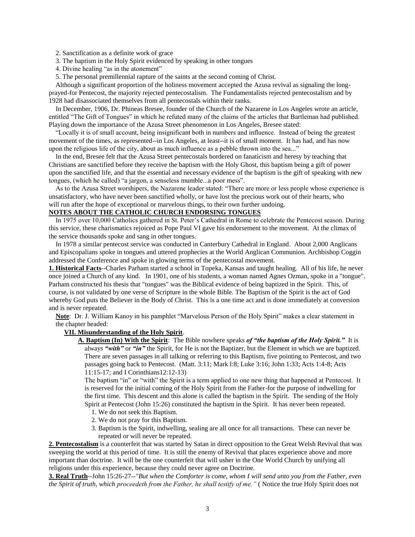2. Sanctification as a definite work of grace

3. The baptism in the Holy Spirit evidenced by speaking in other tongues

4. Divine healing "as in the atonement"

5. The personal premillennial rapture of the saints at the second coming of Christ.

 Although a significant proportion of the holiness movement accepted the Azusa revival as signaling the longprayed-for Pentecost, the majority rejected pentecostalism. The Fundamentalists rejected pentecostalism and by 1928 had disassociated themselves from all pentecostals within their ranks.

 In December, 1906, Dr. Phineas Bresee, founder of the Church of the Nazarene in Los Angeles wrote an article, entitled "The Gift of Tongues" in which he refuted many of the claims of the articles that Bartleman had published. Playing down the importance of the Azusa Street phenomenon in Los Angeles, Bresee stated:

 "Locally it is of small account, being insignificant both in numbers and influence. Instead of being the greatest movement of the times, as represented--in Los Angeles, at least--it is of small moment. It has had, and has now upon the religious life of the city, about as much influence as a pebble thrown into the sea..."

 In the end, Bresee felt that the Azusa Street pentecostals bordered on fanaticism and heresy by teaching that Christians are sanctified before they receive the baptism with the Holy Ghost, this baptism being a gift of power upon the sanctified life, and that the essential and necessary evidence of the baptism is the gift of speaking with new tongues, (which he called) "a jargon, a senseless mumble...a poor mess".

 As to the Azusa Street worshipers, the Nazarene leader stated: "There are more or less people whose experience is unsatisfactory, who have never been sanctified wholly, or have lost the precious work out of their hearts, who will run after the hope of exceptional or marvelous things, to their own further undoing.

## **NOTES ABOUT THE CATHOLIC CHURCH ENDORSING TONGUES**

 In 1975 over 10,000 Catholics gathered in St. Peter's Cathedral in Rome to celebrate the Pentecost season. During this service, these charismatics rejoiced as Pope Paul VI gave his endorsement to the movement. At the climax of the service thousands spoke and sang in other tongues.

 In 1978 a similar pentecost service was conducted in Canterbury Cathedral in England. About 2,000 Anglicans and Episcopalians spoke in tongues and uttered prophecies at the World Anglican Communion. Archbishop Coggin addressed the Conference and spoke in glowing terms of the pentecostal movement.

**1. Historical Facts**--Charles Parham started a school in Topeka, Kansas and taught healing. All of his life, he never once joined a Church of any kind. In 1901, one of his students, a woman named Agnes Ozman, spoke in a "tongue". Parham constructed his thesis that "tongues" was the Biblical evidence of being baptized in the Spirit. This, of course, is not validated by one verse of Scripture in the whole Bible. The Baptism of the Spirit is the act of God whereby God puts the Believer in the Body of Christ. This is a one time act and is done immediately at conversion and is never repeated.

 **Note**: Dr. J. William Kanoy in his pamphlet "Marvelous Person of the Holy Spirit" makes a clear statement in the chapter headed:

## **VII. Misunderstanding of the Holy Spirit**.

 **A. Baptism (In) With the Spirit**: The Bible nowhere speaks *of "the baptism of the Holy Spirit."* It is always *"with"* or *"in"* the Spirit, for He is not the Baptizer, but the Element in which we are baptized. There are seven passages in all talking or referring to this Baptism, five pointing to Pentecost, and two passages going back to Pentecost. (Matt. 3:11; Mark l:8; Luke 3:16; John 1:33; Acts 1:4-8; Acts 11:15-17; and I Corinthians12:12-13)

 The baptism "in" or "with" the Spirit is a term applied to one new thing that happened at Pentecost. It is reserved for the initial coming of the Holy Spirit from the Father-for the purpose of indwelling for the first time. This descent and this alone is called the baptism in the Spirit. The sending of the Holy Spirit at Pentecost (John 15:26) constituted the baptism in the Spirit. It has never been repeated.

- 1. We do not seek this Baptism.
- 2. We do not pray for this Baptism.
- 3. Baptism is the Spirit, indwelling, sealing are all once for all transactions. These can never be repeated or will never be repeated.

**2. Pentecostalism** is a counterfeit that was started by Satan in direct opposition to the Great Welsh Revival that was sweeping the world at this period of time. It is still the enemy of Revival that places experience above and more important than doctrine. It will be the one counterfeit that will usher in the One World Church by unifying all religions under this experience, because they could never agree on Doctrine.

**3. Real Truth**--John 15:26-27-*-"But when the Comforter is come, whom I will send unto you from the Father, even the Spirit of truth, which proceedeth from the Father, he shall testify of me."* ( Notice the true Holy Spirit does not